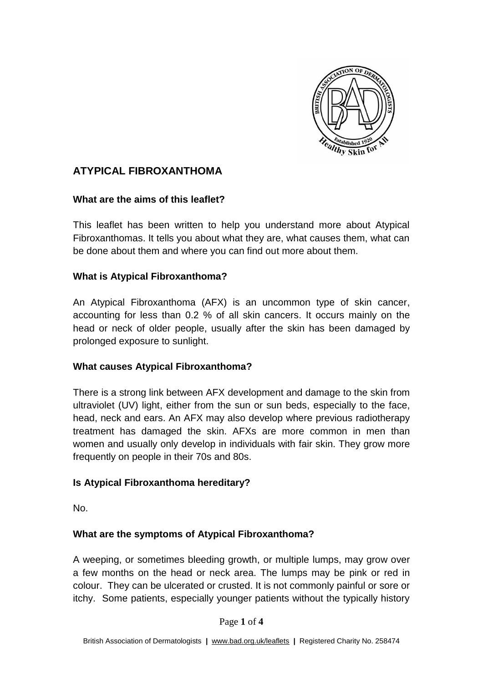

# **ATYPICAL FIBROXANTHOMA**

### **What are the aims of this leaflet?**

This leaflet has been written to help you understand more about Atypical Fibroxanthomas. It tells you about what they are, what causes them, what can be done about them and where you can find out more about them.

#### **What is Atypical Fibroxanthoma?**

An Atypical Fibroxanthoma (AFX) is an uncommon type of skin cancer, accounting for less than 0.2 % of all skin cancers. It occurs mainly on the head or neck of older people, usually after the skin has been damaged by prolonged exposure to sunlight.

#### **What causes Atypical Fibroxanthoma?**

There is a strong link between AFX development and damage to the skin from ultraviolet (UV) light, either from the sun or sun beds, especially to the face, head, neck and ears. An AFX may also develop where previous radiotherapy treatment has damaged the skin. AFXs are more common in men than women and usually only develop in individuals with fair skin. They grow more frequently on people in their 70s and 80s.

### **Is Atypical Fibroxanthoma hereditary?**

No.

### **What are the symptoms of Atypical Fibroxanthoma?**

A weeping, or sometimes bleeding growth, or multiple lumps, may grow over a few months on the head or neck area. The lumps may be pink or red in colour. They can be ulcerated or crusted. It is not commonly painful or sore or itchy. Some patients, especially younger patients without the typically history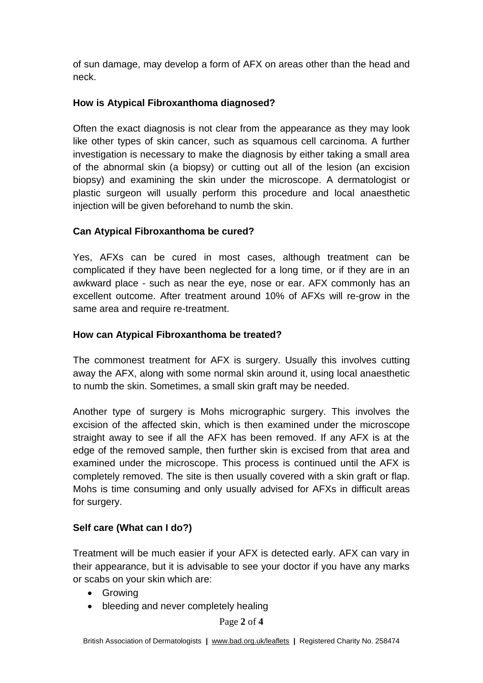of sun damage, may develop a form of AFX on areas other than the head and neck.

## **How is Atypical Fibroxanthoma diagnosed?**

Often the exact diagnosis is not clear from the appearance as they may look like other types of skin cancer, such as squamous cell carcinoma. A further investigation is necessary to make the diagnosis by either taking a small area of the abnormal skin (a biopsy) or cutting out all of the lesion (an excision biopsy) and examining the skin under the microscope. A dermatologist or plastic surgeon will usually perform this procedure and local anaesthetic injection will be given beforehand to numb the skin.

# **Can Atypical Fibroxanthoma be cured?**

Yes, AFXs can be cured in most cases, although treatment can be complicated if they have been neglected for a long time, or if they are in an awkward place - such as near the eye, nose or ear. AFX commonly has an excellent outcome. After treatment around 10% of AFXs will re-grow in the same area and require re-treatment.

### **How can Atypical Fibroxanthoma be treated?**

The commonest treatment for AFX is surgery. Usually this involves cutting away the AFX, along with some normal skin around it, using local anaesthetic to numb the skin. Sometimes, a small skin graft may be needed.

Another type of surgery is Mohs micrographic surgery. This involves the excision of the affected skin, which is then examined under the microscope straight away to see if all the AFX has been removed. If any AFX is at the edge of the removed sample, then further skin is excised from that area and examined under the microscope. This process is continued until the AFX is completely removed. The site is then usually covered with a skin graft or flap. Mohs is time consuming and only usually advised for AFXs in difficult areas for surgery.

### **Self care (What can I do?)**

Treatment will be much easier if your AFX is detected early. AFX can vary in their appearance, but it is advisable to see your doctor if you have any marks or scabs on your skin which are:

- Growing
- bleeding and never completely healing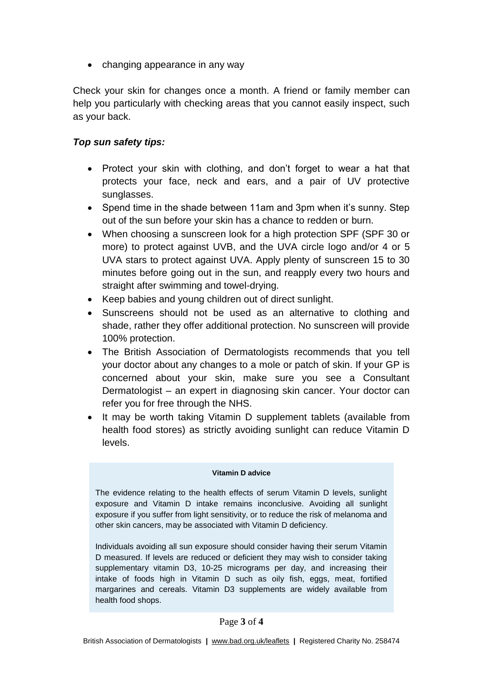• changing appearance in any way

Check your skin for changes once a month. A friend or family member can help you particularly with checking areas that you cannot easily inspect, such as your back.

### *Top sun safety tips:*

- Protect your skin with clothing, and don't forget to wear a hat that protects your face, neck and ears, and a pair of UV protective sunglasses.
- Spend time in the shade between 11am and 3pm when it's sunny. Step out of the sun before your skin has a chance to redden or burn.
- When choosing a sunscreen look for a high protection SPF (SPF 30 or more) to protect against UVB, and the UVA circle logo and/or 4 or 5 UVA stars to protect against UVA. Apply plenty of sunscreen 15 to 30 minutes before going out in the sun, and reapply every two hours and straight after swimming and towel-drying.
- Keep babies and young children out of direct sunlight.
- Sunscreens should not be used as an alternative to clothing and shade, rather they offer additional protection. No sunscreen will provide 100% protection.
- The British Association of Dermatologists recommends that you tell your doctor about any changes to a mole or patch of skin. If your GP is concerned about your skin, make sure you see a Consultant Dermatologist – an expert in diagnosing skin cancer. Your doctor can refer you for free through the NHS.
- It may be worth taking Vitamin D supplement tablets (available from health food stores) as strictly avoiding sunlight can reduce Vitamin D levels.

#### **Vitamin D advice**

The evidence relating to the health effects of serum Vitamin D levels, sunlight exposure and Vitamin D intake remains inconclusive. Avoiding all sunlight exposure if you suffer from light sensitivity, or to reduce the risk of melanoma and other skin cancers, may be associated with Vitamin D deficiency.

Individuals avoiding all sun exposure should consider having their serum Vitamin D measured. If levels are reduced or deficient they may wish to consider taking supplementary vitamin D3, 10-25 micrograms per day, and increasing their intake of foods high in Vitamin D such as oily fish, eggs, meat, fortified margarines and cereals. Vitamin D3 supplements are widely available from health food shops.